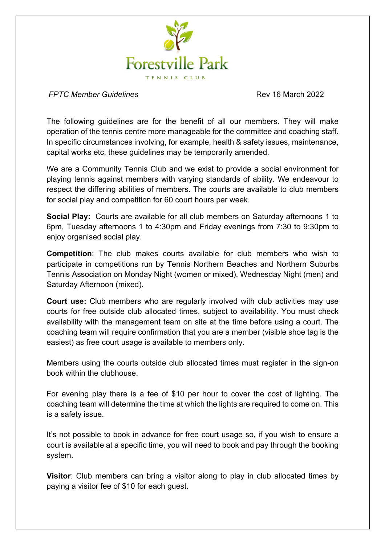

*FPTC Member Guidelines* Rev 16 March 2022

The following guidelines are for the benefit of all our members. They will make operation of the tennis centre more manageable for the committee and coaching staff. In specific circumstances involving, for example, health & safety issues, maintenance, capital works etc, these guidelines may be temporarily amended.

We are a Community Tennis Club and we exist to provide a social environment for playing tennis against members with varying standards of ability. We endeavour to respect the differing abilities of members. The courts are available to club members for social play and competition for 60 court hours per week.

**Social Play:** Courts are available for all club members on Saturday afternoons 1 to 6pm, Tuesday afternoons 1 to 4:30pm and Friday evenings from 7:30 to 9:30pm to enjoy organised social play.

**Competition**: The club makes courts available for club members who wish to participate in competitions run by Tennis Northern Beaches and Northern Suburbs Tennis Association on Monday Night (women or mixed), Wednesday Night (men) and Saturday Afternoon (mixed).

**Court use:** Club members who are regularly involved with club activities may use courts for free outside club allocated times, subject to availability. You must check availability with the management team on site at the time before using a court. The coaching team will require confirmation that you are a member (visible shoe tag is the easiest) as free court usage is available to members only.

Members using the courts outside club allocated times must register in the sign-on book within the clubhouse.

For evening play there is a fee of \$10 per hour to cover the cost of lighting. The coaching team will determine the time at which the lights are required to come on. This is a safety issue.

It's not possible to book in advance for free court usage so, if you wish to ensure a court is available at a specific time, you will need to book and pay through the booking system.

**Visitor**: Club members can bring a visitor along to play in club allocated times by paying a visitor fee of \$10 for each guest.